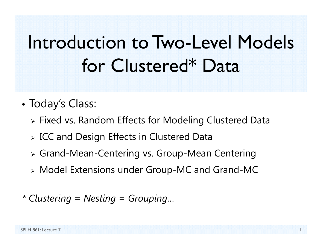# Introduction to Two-Level Models for Clustered\* Data

- • Today's Class:
	- Fixed vs. Random Effects for Modeling Clustered Data
	- $\triangleright$  ICC and Design Effects in Clustered Data
	- Grand-Mean-Centering vs. Group-Mean Centering
	- Model Extensions under Group-MC and Grand-MC
- *\* Clustering = Nesting = Grouping…*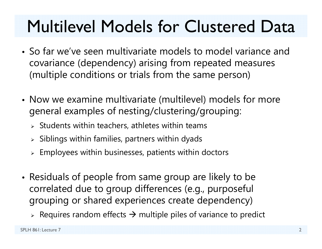## Multilevel Models for Clustered Data

- So far we've seen multivariate models to model variance and covariance (dependency) arising from repeated measures (multiple conditions or trials from the same person)
- Now we examine multivariate (multilevel) models for more general examples of nesting/clustering/grouping:
	- $\triangleright$  Students within teachers, athletes within teams
	- $\triangleright$  Siblings within families, partners within dyads
	- $\triangleright$  Employees within businesses, patients within doctors
- • Residuals of people from same group are likely to be correlated due to group differences (e.g., purposeful grouping or shared experiences create dependency)
	- $\triangleright$  Requires random effects  $\rightarrow$  multiple piles of variance to predict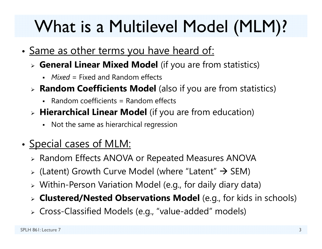# What is a Multilevel Model (MLM)?

- •• <u>Same as other terms you have heard of:</u>
	- **General Linear Mixed Model** (if you are from statistics)
		- *Mixed* = Fixed and Random effects
	- **Random Coefficients Model** (also if you are from statistics)
		- Random coefficients = Random effects
	- **Hierarchical Linear Model** (if you are from education)
		- $\mathbf{r}$ Not the same as hierarchical regression
- •• <u>Special cases of MLM:</u>
	- Random Effects ANOVA or Repeated Measures ANOVA
	- $\triangleright$  (Latent) Growth Curve Model (where "Latent"  $\rightarrow$  SEM)
	- Within-Person Variation Model (e.g., for daily diary data)
	- **Clustered/Nested Observations Model** (e.g., for kids in schools)
	- Cross-Classified Models (e.g., "value-added" models)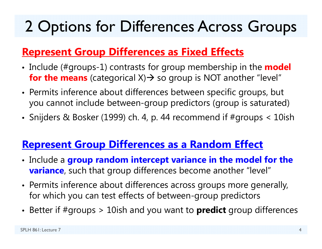## 2 Options for Differences Across Groups

### **Represent Group Differences as Fixed Effects**

- Include (#groups-1) contrasts for group membership in the **model for the means** (categorical X) $\rightarrow$  so group is NOT another "level"
- Permits inference about differences between specific groups, but you cannot include between-group predictors (group is saturated)
- Snijders & Bosker (1999) ch. 4, p. 44 recommend if #groups < 10ish

### **Represent Group Differences as a Random Effect**

- Include a **group random intercept variance in the model for the variance**, such that group differences become another "level"
- Permits inference about differences across groups more generally, for which you can test effects of between-group predictors
- Better if #groups > 10ish and you want to **predict** group differences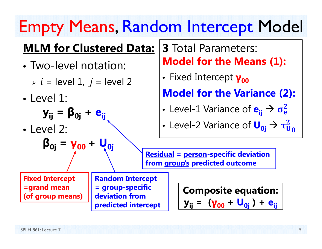## Empty Means, Random Intercept Model

### **MLM for Clustered Data:**

- Two-level notation:
	- *i* = level 1, *j* = level 2
- Level 1:

**yij <sup>=</sup>β0j + eij**

• Level 2:

 $β_{0j} = γ_{00} + U_{0j}$ 

**Fixed Intercept =grand mean (of group means)**  **Random Intercept = group-specific deviation from predicted intercept**

### **3** Total Parameters: **Model for the Means (1):**

• Fixed Intercept **γ<sub>οο</sub>** 

**Model for the Variance (2):**

•• Level-1 Variance of  ${\bf e}_{\mathsf{i}\mathsf{j}} \to \sigma_{\rm e}^2$ 

• Level-2 Variance of 
$$
U_{0j} \rightarrow \tau_{U_0}^2
$$

**Residual = person-specific deviation from group's predicted outcome** 

> **Composite equation: y**<sub>ii</sub> = (**γ**<sub>00</sub> + U<sub>0i</sub>) + e<sub>ii</sub>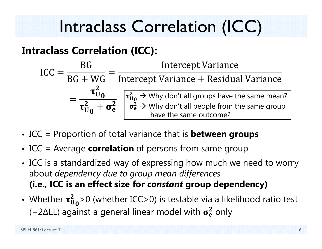## Intraclass Correlation (ICC)

### **Intraclass Correlation (ICC):**

 $\text{ICC} =$ BG  $\mathrm{BG + WG}$  $=$ Intercept Variance Intercept Variance + Residual Variance ൌ  $\tau_{\tilde{\text{U}}}$ 2<br>U<sub>0</sub>  $\tau_{\rm U}$  $_{\rm U_0}^2 + \sigma_{\rm e}^2$  $\bf{2}$  $\tau_{\tilde{\text{U}}}$ 2<br>ՍՕ  $\rightarrow$  Why don't all groups have the same mean?  $\sigma_{\rm e}$  $_{\rm e}^2$   $\rightarrow$  Why don't all people from the same group have the same outcome?

- ICC = Proportion of total variance that is **between groups**
- ICC = Average **correlation** of persons from same group
- ICC is a standardized way of expressing how much we need to worry about *dependency due to group mean differences* **(i.e., ICC is an effect size for** *constant* **group dependency)**
- Whether  $\boldsymbol{\tau_U^2}$  $\bf{2}$  $_{\mathbf{0}}$ >0 (whether ICC>0) is testable via a likelihood ratio test ( −2∆LL) against a general linear model with  $\sigma_{e}^{2}$  $\frac{2}{\mathrm{e}}$  only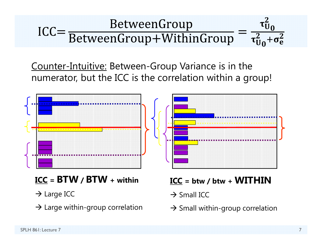

Counter-Intuitive: Between-Group Variance is in the numerator, but the ICC is the correlation within a group!



- **ICC = BTW / BTW + within**
- $\rightarrow$  Large ICC
- $\rightarrow$  Large within-group correlation

**ICC = btw / btw + WITHIN**

- $\rightarrow$  Small ICC
- $\rightarrow$  Small within-group correlation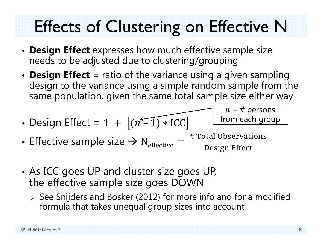# Effects of Clustering on Effective N

- • **Design Effect** expresses how much effective sample size needs to be adjusted due to clustering/grouping
- • **Design Effect** = ratio of the variance using a given sampling design to the variance using a simple random sample from the same population, given the same total sample size either way

• Design Effect = 
$$
1 + [(n-1) * ICC]
$$

# ୭୲ୟ୪ ୠୱୣ୰୴ୟ୲୧୭୬ୱ ୈୣୱ୧୬ ୣୡ୲

 $n$  = # persons  $\,$ 

from each group

- •• Effective sample size  $\rightarrow$  N<sub>effective</sub>
- • As ICC goes UP and cluster size goes UP, the effective sample size goes DOWN
	- $\triangleright$  See Snijders and Bosker (2012) for more info and for a modified formula that takes unequal group sizes into account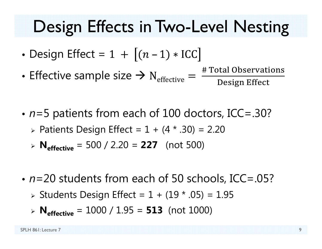## Design Effects in Two-Level Nesting

- •Design Effect =
- •• Effective sample size  $\rightarrow$  N<sub>effective</sub>

 $\epsilon_{\rm e} = \frac{\text{\# Total Observations}}{\text{Design Effect}}$ 

- *<sup>n</sup>*=5 patients from each of 100 doctors, ICC=.30?
	- Patients Design Effect = 1 + (4 \* .30) = 2.20
	- **Neffective** = 500 / 2.20 = **227** (not 500)
- *<sup>n</sup>*=20 students from each of 50 schools, ICC=.05?
	- Students Design Effect = 1 + (19 \* .05) = 1.95
	- **Neffective** = 1000 / 1.95 = **513** (not 1000)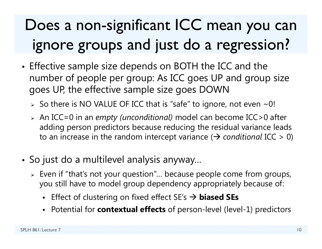## Does a non-significant ICC mean you can ignore groups and just do a regression?

- • Effective sample size depends on BOTH the ICC and the number of people per group: As ICC goes UP and group size goes UP, the effective sample size goes DOWN
	- $\triangleright\;$  So there is NO VALUE OF ICC that is "safe" to ignore, not even  $\sim\!0!$
	- An ICC=0 in an *empty (unconditional)* model can become ICC>0 after adding person predictors because reducing the residual variance leads to an increase in the random intercept variance ( *conditional* ICC > 0)
- So just do a multilevel analysis anyway…
	- $\triangleright\;$  Even if "that's not your question"… because people come from groups, you still have to model group dependency appropriately because of:
		- **▪** Effect of clustering on fixed effect SE's → **biased SEs**
		- Potential for **contextual effects** of person-level (level-1) predictors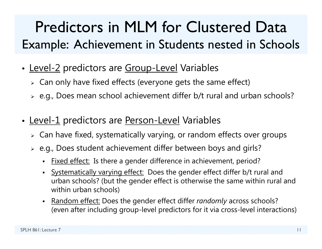### Predictors in MLM for Clustered Data Example: Achievement in Students nested in Schools

- Level-2 predictors are Group-Level Variables
	- $\triangleright\;$  Can only have fixed effects (everyone gets the same effect)
	- $\triangleright$  e.g., Does mean school achievement differ b/t rural and urban schools?
- <u>Level-1</u> predictors are <u>Person-Level</u> Variables
	- $\triangleright\;$  Can have fixed, systematically varying, or random effects over groups
	- $\triangleright$  e.g., Does student achievement differ between boys and girls?
		- Fixed effect: Is there a gender difference in achievement, period?
		- Systematically varying effect: Does the gender effect differ b/t rural and urban schools? (but the gender effect is otherwise the same within rural and within urban schools)
		- Random effect: Does the gender effect differ *randomly* across schools? (even after including group-level predictors for it via cross-level interactions)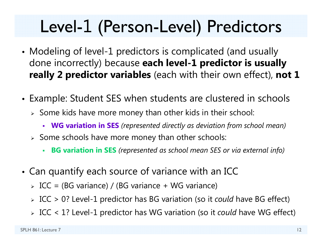## Level-1 (Person-Level) Predictors

- • Modeling of level-1 predictors is complicated (and usually done incorrectly) because **each level-1 predictor is usually really 2 predictor variables** (each with their own effect), **not 1**
- Example: Student SES when students are clustered in schools
	- $\triangleright$  Some kids have more money than other kids in their school:
		- **WG variation in SES** *(represented directly as deviation from school mean)*
	- $\triangleright$  Some schools have more money than other schools:
		- **BG variation in SES** *(represented as school mean SES or via external info)*
- • Can quantify each source of variance with an ICC
	- ICC = (BG variance) / (BG variance + WG variance)
	- ICC > 0? Level-1 predictor has BG variation (so it *could* have BG effect)
	- ICC < 1? Level-1 predictor has WG variation (so it *could* have WG effect)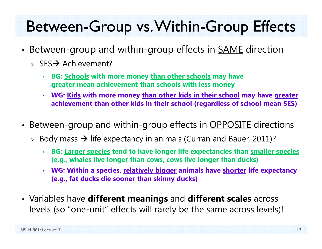### Between-Group vs. Within-Group Effects

- •• Between-group and within-group effects in <u>SAME</u> direction
	- $\triangleright$  SES $\rightarrow$  Achievement?
		- П **BG: Schools with more money than other schools may have greater mean achievement than schools with less money**
		- ▉ **WG: Kids with more money than other kids in their school may have greater achievement than other kids in their school (regardless of school mean SES)**
- Between-group and within-group effects in <u>OPPOSITE</u> directions
	- $\triangleright$  Body mass  $\rightarrow$  life expectancy in animals (Curran and Bauer, 2011)?
		- ⊔ **BG: Larger species tend to have longer life expectancies than smaller species (e.g., whales live longer than cows, cows live longer than ducks)**
		- **WG: Within a species, relatively bigger animals have shorter life expectancy (e.g., fat ducks die sooner than skinny ducks)**
- Variables have **different meanings** and **different scales** across levels (so "one-unit" effects will rarely be the same across levels)!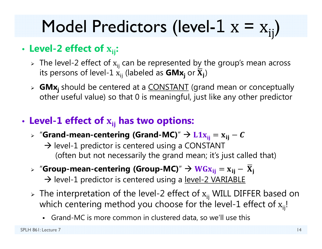#### Model Predictors (level- $1\ \mathrm{x} =$ )

### • Level-2 effect of  $\mathbf{x_{ij}}$ :

- $\triangleright$  The level-2 effect of  $\mathrm{x_{ij}}$  can be represented by the group's mean across its persons of level-1  $\mathrm{x_{ij}}$  (labeled as  $\mathbf{G M x_{j}}$  or  $\overline{\mathbf{X}}_{\mathbf{j}})$
- **GMxj** should be centered at a CONSTANT (grand mean or conceptually other useful value) so that 0 is meaningful, just like any other predictor

### • Level-1 effect of  $\mathbf{x_{ij}}$  has two options:

- $\triangleright$  "Grand-mean-centering (Grand-MC)"  $\rightarrow$  L1 $\rm{x_{ij}}$  =  $\rm{x_{ij}}$   $C$ 
	- $\rightarrow$  level-1 predictor is centered using a CONSTANT (often but not necessarily the grand mean; it's just called that)
- $\triangleright$  "Group-mean-centering (Group-MC)"  $\rightarrow$  WG $\rm{x_{ij}} = x_{ij} \overline{X}_{ji}$ → level-1 predictor is centered using a <u>level-2 VARIABLE</u>
- $\triangleright$  The interpretation of the level-2 effect of  $\boldsymbol{\mathrm{x}}_{\mathsf{i}\mathsf{j}}$  WILL DIFFER based on which centering method you choose for the level-1 effect of  $\mathrm{x}_{\mathbf{ij}}!$ 
	- Grand-MC is more common in clustered data, so we'll use this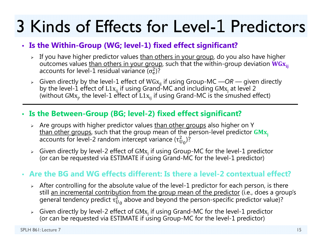## 3 Kinds of Effects for Level-1 Predictors

#### • **Is the Within-Group (WG; level-1) fixed effect significant?**

- > If you have higher predictor values <u>than others in your group</u>, do you also have higher outcomes values than others in your group, such that the within-group deviation  $WG_{X_{ii}}$  $\sigma_{\rm e}^2$ )?
- $\triangleright$  Given directly by the level-1 effect of WG<sub>X<sub>ii</sub></sub> if using Group-MC —OR given directly by the level-1 effect of  $L1x_{ij}$  if using Grand<sup>2</sup>-MC and including GM<sub>x<sub>j</sub> at level 2 (without GM<sub>x<sub>i</sub></sub>, the level-1 effect of  $L1x_{ij}$  if using Grand-MC is the smushed effect)</sub>

#### • **Is the Between-Group (BG; level-2) fixed effect significant?**

- > Are groups with higher predictor values <u>than other groups</u> also higher on Y than other groups, such that the group mean of the person-level predictor  $GMx_i$  $\tau_{\rm U}$  $^2_{\rm U_0}$ )?
- Given directly by level-2 effect of GMx<sub>j</sub> if using Group-MC for the level-1 predictor (or can be requested via ESTIMATE if using Grand-MC for the level-1 predictor)

#### •**Are the BG and WG effects different: Is there a level-2 contextual effect?**

- $\triangleright$  After controlling for the absolute value of the level-1 predictor for each person, is there still an incremental contribution from the group mean of the predictor (i.e., does a group's general tendency predict  $\tau^2_{\mathrm{U}}$  $_{\rm U_0}^2$  above and beyond the person-specific predictor value)?
- $\triangleright$  Given directly by level-2 effect of GMx<sub>j</sub> if using Grand-MC for the level-1 predictor (or can be requested via ESTIMATE if using Group-MC for the level-1 predictor)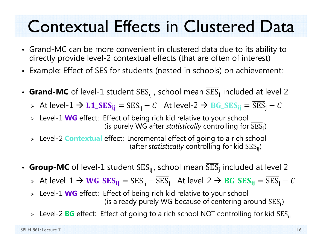## Contextual Effects in Clustered Data

- Grand-MC can be more convenient in clustered data due to its ability to directly provide level-2 contextual effects (that are often of interest)
- Example: Effect of SES for students (nested in schools) on achievement:
- $\,$  Grand-MC of level-1 student  $\mathrm{SES}_{\mathrm{ij}}$  , school mean  $\mathrm{SES}_{\mathrm{j}}$  included at level 2  $\,$ 
	- $\triangleright$  At level-1  $\rightarrow$  L1\_SES $_{\rm ij}$   $=$  SES $_{\rm ij}$   $C$   $\,$  At level-2  $\rightarrow$  BG\_SES $_{\rm ij}$   $=$  SES $_{\rm j}$   $C$
	- Level-1 **WG** effect: Effect of being rich kid relative to your school (is purely WG after *statistically* controlling for  $\overline{\rm SES}_i$ )
	- Level-2 **Contextual** effect: Incremental effect of going to a rich school (after *statistically* controlling for kid SES<sub>ii</sub>)
- $\,\, {\bf Group\text{-}MC}$  of level-1 student  $\text{SES}_{\text{ij}}$ , school mean  $\text{SES}_{\text{j}}$  included at level 2
	- $\triangleright$  At level-1  $\rightarrow$   $\textsf{WG\_SES}_{\textsf{ij}}= {\textsf{SES}}_{\textsf{ij}}-{\textsf{SES}}_{\textsf{ij}}-{\textsf{SES}}_{\textsf{ij}}-{\textsf{CES}}_{\textsf{ij}}-{\textsf{CES}}_{\textsf{ij}}-{\textsf{C}}$
	- Level-1 **WG** effect: Effect of being rich kid relative to your school (is already purely WG because of centering around  $\overline{\text{SES}}_i$ )
	- > Level-2 **BG** effect: Effect of going to a rich school NOT controlling for kid SES<sub>ij</sub>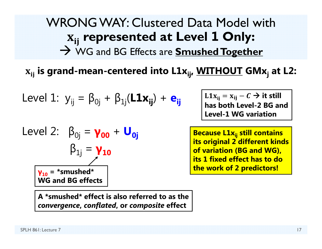### WRONG WAY: Clustered Data Model withܑܒ **represented at Level 1 Only:** WG and BG Effects are **Smushed Together**

ܠܑܒ **is grand-mean-centered into L1xij, WITHOUT GMxj at L2:**

Level 1: 
$$
y_{ij} = \beta_{0j} + \beta_{1j}(\mathbf{L} \mathbf{1} \mathbf{x}_{ij}) + \mathbf{e}_{ij}
$$

Level 2: 
$$
\beta_{0j} = \gamma_{00} + U_{0j}
$$

\n $\beta_{1j} = \gamma_{10}$ 

\n $\gamma_{10} = \text{``smushed''}$ 

\nWG and BG effects

 $\text{L1x}_{ij} = \text{x}_{ij} - C \rightarrow \text{it still}$ **has both Level-2 BG and Level-1 WG variation** 

**Because L1x<sub>ij</sub> still contains its original 2 different kinds of variation (BG and WG), its 1 fixed effect has to do the work of 2 predictors!**

**A \*smushed\* effect is also referred to as the** *convergence***,** *conflated***, or** *composite* **effect**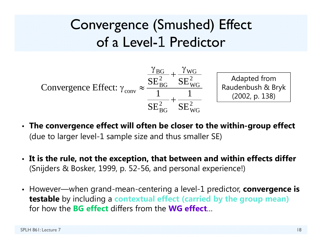### Convergence (Smushed) Effect of a Level-1 Predictor



- **The convergence effect will often be closer to the within-group effect** (due to larger level-1 sample size and thus smaller SE)
- **It is the rule, not the exception, that between and within effects differ** (Snijders & Bosker, 1999, p. 52-56, and personal experience!)
- However—when grand-mean-centering a level-1 predictor, **convergence is testable** by including a **contextual effect (carried by the group mean)**  for how the **BG effect** differs from the **WG effect**…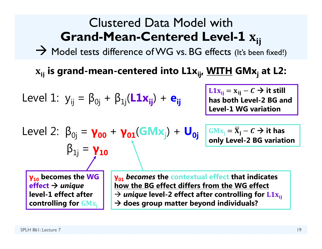#### Clustered Data Model with **Grand-Mean-Centered Level-1**∸ **^**ij

 $\rightarrow$  Model tests difference of WG vs. BG effects (It's been fixed!)

ܠܑܒ **is grand-mean-centered into L1xij, WITH GMxj at L2:**

Level 1: 
$$
y_{ij} = \beta_{0j} + \beta_{1j}(\mathbf{L} \mathbf{1} \mathbf{x}_{ij}) + \mathbf{e}_{ij}
$$

 $L1x_{ij} = x_{ij} - C \rightarrow it$  still **has both Level-2 BG and Level-1 WG variation** 

$$
Level 2: \beta_{0j} = \gamma_{00} + \gamma_{01}(GMx_j) + U_{0j} \begin{bmatrix} G \\ G \end{bmatrix}
$$
\n
$$
\beta_{1j} = \gamma_{10}
$$

 $GMx_j = \overline{X}_j - C \rightarrow$  it has **only Level-2 BG variation**

**γ10 becomes the WG effect** *unique* **level-1 effect after controlling for GMx** 

**γ01** *becomes* **the contextual effect that indicates how the BG effect differs from the WG effect**   $\rightarrow$  *unique* level-2 effect after controlling for  $\rm L1x_{ij}$ **does group matter beyond individuals?**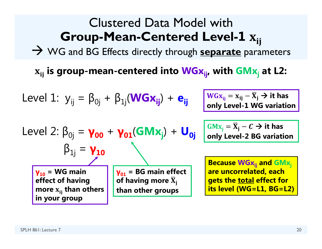**Clustering**

\n**Group-Mean-Centered Level-1** 
$$
x_{ij}
$$

\n $\rightarrow$  WG and BG Effects directly through separate parameters  $x_{ij}$  is group-mean-centered into  $WGx_{ij}$ , with  $GMx_j$  at L2:

\nLevel 1:  $y_{ij} = \beta_{0j} + \beta_{1j}(WGx_{ij}) + e_{ij}$ 

\n $\begin{array}{|c|c|c|c|c|}\n\hline\n & WGx_{ij} = x_{ij} - \overline{x}_j \rightarrow it has only Level-1 WG variation only Level-1 WG variation  $\beta_{1j} = \gamma_{10}$   $\beta_{1j} = \gamma_{10}$ \n$ 

\n $\gamma_{10} = WG \text{ main}$ 

\n $\beta_{1j} = \gamma_{10}$ 

\n $\gamma_{20} = WG \text{ main}$ 

\n $\gamma_{21} = \beta_{12} \text{ main effect of having more } \overline{x}_i \text{ than others, then others, and the group is given by the following more  $\overline{x}_i$  that is level (WG=L1, BG=L2)$ 

\n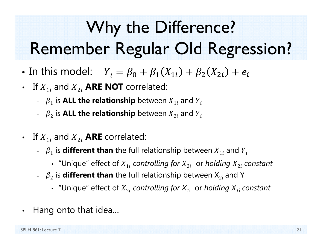# Why the Difference? Remember Regular Old Regression?

- •• In this model:  $Y_i = \beta_0 + \beta_1(X_{1i}) + \beta_2(X_{2i}) + e_i$
- If  $X_{1i}$  and  $X_{2i}$  **ARE NOT** correlated:
	- $\mathcal{P}_1$  is **ALL the relationship** between  $X_{1i}$  and  $Y_{i}$
	- $~$   $~$   $\beta_2$  is <code>ALL</code> the relationship <code>between</code>  $X_{2i}$  and  $Y_i$
- If  $X_{1i}$  and  $X_{2i}$  **ARE** correlated:
	- $\,\mathcal{P}_1$  is **different than** the full relationship between  $X_{1i}$  and  $Y_i$ 
		- "Unique" effect of  $X_{1i}$  *controlling for*  $X_{2i}$  *or holding*  $X_{2i}$  *constant*
	- $~\overline{\phantom{a}}$   $~\beta_2$  is **different than** the full relationship between  $\mathsf{X}_{2\mathsf{i}}$  and  $\mathsf{Y}_{\mathsf{i}}$ 
		- "Unique" effect of  $X_{2i}$  *controlling for*  $X_{1i}$  *or holding*  $X_{1i}$  *constant*
- •Hang onto that idea…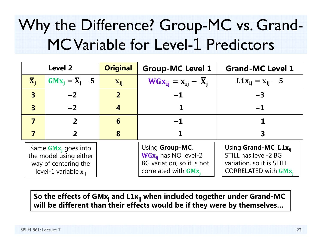## Why the Difference? Group-MC vs. Grand-MC Variable for Level-1 Predictors

| <b>Level 2</b>                                                                                                 |                              | <b>Original</b>                                                                                            | <b>Group-MC Level 1</b>                                                                                                | <b>Grand-MC Level 1</b> |
|----------------------------------------------------------------------------------------------------------------|------------------------------|------------------------------------------------------------------------------------------------------------|------------------------------------------------------------------------------------------------------------------------|-------------------------|
| $\overline{\mathbf{X}}_i$                                                                                      | $GMx_i = \overline{X}_i - 5$ | $X_{ij}$                                                                                                   | $WGx_{ij} = x_{ij} - X_i$                                                                                              | $L1x_{ij} = x_{ij} - 5$ |
| $\overline{\mathbf{3}}$                                                                                        | $-2$                         | 2 <sup>1</sup>                                                                                             | $-1$                                                                                                                   | $-3$                    |
| $\overline{\mathbf{3}}$                                                                                        | $-2$                         |                                                                                                            |                                                                                                                        |                         |
|                                                                                                                |                              | 6                                                                                                          | $-1$                                                                                                                   |                         |
| 7                                                                                                              |                              | 8                                                                                                          |                                                                                                                        |                         |
| Same GMx <sub>i</sub> goes into<br>the model using either<br>way of centering the<br>level-1 variable $x_{ii}$ |                              | Using <b>Group-MC</b> ,<br>$WGx_{ii}$ has NO level-2<br>BG variation, so it is not<br>correlated with GMx, | Using <b>Grand-MC</b> , $L1x_{ii}$<br>STILL has level-2 BG<br>variation, so it is STILL<br><b>CORRELATED with GMx.</b> |                         |

So the effects of GMx<sub>i</sub> and L1x<sub>ii</sub> when included together under Grand-MC **will be different than their effects would be if they were by themselves…**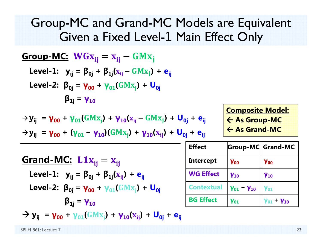### Group-MC and Grand-MC Models are Equivalent Given a Fixed Level-1 Main Effect Only

| Group-MC:                                                                                                | WGx <sub>ij</sub> = x <sub>ij</sub> - GMx <sub>j</sub>      |
|----------------------------------------------------------------------------------------------------------|-------------------------------------------------------------|
| Level-1:                                                                                                 | $y_{ij} = \beta_{0j} + \beta_{1j}(x_{ij} - GMx_j) + e_{ij}$ |
| Level-2:                                                                                                 | $\beta_{0j} = \gamma_{00} + \gamma_{01}(GMx_j) + U_{0j}$    |
| $\beta_{1j} = \gamma_{10}$                                                                               |                                                             |
| $\gamma_{ij} = \gamma_{00} + \gamma_{01}(GMx_j) + \gamma_{10}(x_{ij} - GMx_j) + U_{0j} + e_{ij}$         |                                                             |
| $\gamma_{ij} = \gamma_{00} + (\gamma_{01} - \gamma_{10})(GMx_j) + \gamma_{10}(x_{ij}) + U_{0j} + e_{ij}$ |                                                             |
| $\gamma_{ij} = \gamma_{00} + (\gamma_{01} - \gamma_{10})(GMx_j) + \gamma_{10}(x_{ij}) + U_{0j} + e_{ij}$ |                                                             |
| Grand-MC:                                                                                                | $L1x_{ij} = x_{ij}$                                         |
| Level-1:                                                                                                 | $y_{ij} = \beta_{0j} + \beta_{1j}(x_{ij}) + e_{ij}$         |
| Level-2:                                                                                                 | $\beta_{0j} = \gamma_{00} + \gamma_{01}(GMx_j) + U_{0j}$    |
| $\beta_{1j} = \gamma_{10}$                                                                               |                                                             |
| $\gamma_{2j} = \gamma_{00} + \gamma_{01}(GMx_j) + \gamma_{10}(x_{ij}) + U_{0j} + e_{ij}$                 |                                                             |

SPLH 861: Lecture 7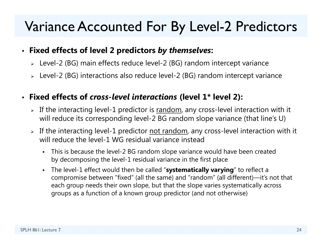### Variance Accounted For By Level-2 Predictors

#### • **Fixed effects of level 2 predictors** *by themselves***:**

- Level-2 (BG) main effects reduce level-2 (BG) random intercept variance
- Level-2 (BG) interactions also reduce level-2 (BG) random intercept variance
- • **Fixed effects of** *cross-level interactions* **(level 1\* level 2):**
	- $\triangleright$  If the interacting level-1 predictor is  $\overline{\text{random}}$ , any cross-level interaction with it will reduce its corresponding level-2 BG random slope variance (that line's U)
	- $\triangleright$  If the interacting level-1 predictor <u>not random</u>, any cross-level interaction with it will reduce the level-1 WG residual variance instead
		- This is because the level-2 BG random slope variance would have been created by decomposing the level-1 residual variance in the first place
		- The level-1 effect would then be called "**systematically varying**" to reflect a compromise between "fixed" (all the same) and "random" (all different)—it's not that each group needs their own slope, but that the slope varies systematically across groups as a function of a known group predictor (and not otherwise)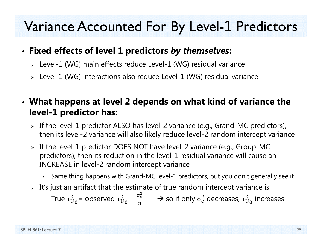### Variance Accounted For By Level-1 Predictors

#### • **Fixed effects of level 1 predictors** *by themselves***:**

- Level-1 (WG) main effects reduce Level-1 (WG) residual variance
- Level-1 (WG) interactions also reduce Level-1 (WG) residual variance

#### • **What happens at level 2 depends on what kind of variance the level-1 predictor has:**

- $\triangleright$  If the level-1 predictor ALSO has level-2 variance (e.g., Grand-MC predictors), then its level-2 variance will also likely reduce level-2 random intercept variance
- $\triangleright$  If the level-1 predictor DOES NOT have level-2 variance (e.g., Group-MC predictors), then its reduction in the level-1 residual variance will cause an INCREASE in level-2 random intercept variance
	- Same thing happens with Grand-MC level-1 predictors, but you don't generally see it
- $\triangleright$   $\,$  It's just an artifact that the estimate of true random intercept variance is:

True  $\tau^{\scriptscriptstyle\mathcal{L}}_\mathsf{U}$  $^2_\mathrm{U_0}$ = observed τ $^2_\mathrm{U}$ 2<br>Սօ —  $\sigma_{\rm e}$ మ п  $\rightarrow$  so if only  $\sigma_{\rm e}^2$  $_{\rm e}^2$  decreases,  $\tau_{\rm U}^2$  $_{\rm U_{\rm 0}}^{2}$  increases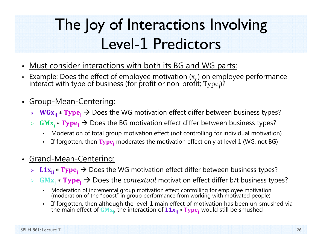## The Joy of Interactions Involving Level-1 Predictors

- Must consider interactions with both its BG and WG parts:
- •• Example: Does the effect of employee motivation (x<sub>ij</sub>) on employee performance<br>interact with type of business (for profit or non-profit; Type<sub>j</sub>)?
- $\bullet$  Group-Mean-Centering:
	- $\triangleright$   $\mathbf{WGx_{ij}} * \mathbf{Type_j} \rightarrow$  Does the WG motivation effect differ between business types?
	- ⊳ **GMx<sub>i</sub> \* Type<sub>j</sub> →** Does the BG motivation effect differ between business types?
		- Г Moderation of total group motivation effect (not controlling for individual motivation)
		- Г If forgotten, then  $Type_i$  moderates the motivation effect only at level 1 (WG, not BG)
- • Grand-Mean-Centering:
	- $\triangleright$   $\;\mathbf{L1x_{ij}}*\mathbf{Type_{j}}\to\mathsf{Does}$  the WG motivation effect differ between business types?
	- > GMx<sub>j</sub> \* Type<sub>j</sub> → Does the *contextual* motivation effect differ b/t business types?
		- Moderation of incremental group motivation effect controlling for employee motivation (moderation of the "boost" in group performance from working with motivated people)
		- Г If forgotten, then although the level-1 main effect of motivation has been un-smushed via the main effect of  $\mathbf{G}\mathbf{M}\mathbf{x}_{\mathsf{j}}$ , the interaction of  $\mathbf{L}\mathbf{1}\mathbf{x}_{\mathsf{i}\mathsf{j}}* \mathbf{T}\mathbf{y}\mathbf{p}\mathbf{e}_{\mathsf{j}}$  would still be smushed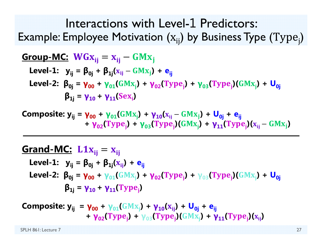Interactions with Level-1 Predictors: Example: Employee Motivation  $\rm (x_{ij})$  by Business Type  $\rm (Type_{\it j})$ 

**Group-MC:** 
$$
WGx_{ij} = x_{ij} - GMx_j
$$

\nLevel-1:  $y_{ij} = \beta_{0j} + \beta_{1j}(x_{ij} - GMx_j) + e_{ij}$ 

\nLevel-2:  $\beta_{0j} = \gamma_{00} + \gamma_{01}(GMx_j) + \gamma_{02}(Type_j) + \gamma_{03}(Type_j)(GMx_j) + U_{0j}$ 

\n $\beta_{1j} = \gamma_{10} + \gamma_{11}(Sex_j)$ 

**Composite: y<sub>ij</sub> = γ<sub>00</sub> + γ<sub>01</sub>(GMx<sub>j</sub>) + γ<sub>10</sub>(x<sub>ij</sub> – GMx<sub>j</sub>) + U<sub>0j</sub> + e<sub>ij</sub>** + **γ**<sub>02</sub>(Type<sub>j</sub>) + γ<sub>03</sub>(Type<sub>j</sub>)(GMx<sub>j</sub>) + γ<sub>11</sub>(Type<sub>j</sub>)(x<sub>ij</sub> – GMx<sub>j</sub>)

### ܒܑܠۺ **:MC-Grand** ൌ ܒܑܠ

 ${\sf Level\text{-}1:} \quad {\sf y}_{\sf ij} = {\sf \beta}_{\sf 0j} + {\sf \beta}_{\sf 1j} ({\sf x}_{\sf ij}) + {\sf e}_{\sf ij}$ Level-2:  $\beta_{0j}$  =  $\gamma_{00}$  +  $\gamma_{01}$ (GM $\rm{x_{j}}$ ) +  $\gamma_{02}$ (Type<sub>j</sub>) +  $\gamma_{03}$ (Type<sub>j</sub>)(GM $\rm{x_{j}}$ ) + U<sub>0j</sub>  $\beta_{1j} = \gamma_{10} + \gamma_{11}(\text{Type}_j)$ 

**Composite: y<sub>ij</sub> = γ<sub>00</sub> + γ<sub>01</sub>(GMx<sub>j</sub>) + γ<sub>10</sub>(x<sub>ij</sub>) + U<sub>0j</sub> + e<sub>ij</sub>** + **γ**<sub>02</sub>(Type<sub>j</sub>) + γ<sub>03</sub>(Type<sub>j</sub>)(GMx<sub>j</sub>) + **γ<sub>11</sub>(Type**<sub>j</sub>)(x<sub>ij</sub>)

SPLH 861: Lecture 7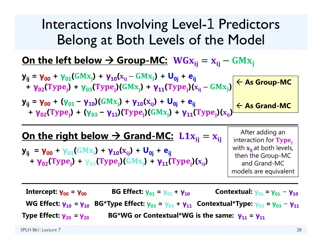### Interactions Involving Level-1 Predictors Belong at Both Levels of the Model

#### **On the left below**  <u>→ Group-MC:</u> WGx<sub>ij</sub> = x<sub>ij</sub> – GMx<sub>j</sub>



### On the right below → Grand-MC: 【1x<sub>ij</sub> = x<sub>ij</sub>

 ${\bf y_{ij}}$  **=**  ${\bf y_{00}}$  +  ${\bf y_{01}}$ (GM ${\bf x_{i}}$ ) +  ${\bf y_{10}}({\bf x_{ij}})$  +  ${\bf U_{0j}}$  +  ${\bf e_{ij}}$ + **γ**<sub>02</sub>(Type<sub>j</sub>) + γ<sub>03</sub>(Type<sub>j</sub>)(GMx<sub>j</sub>) + **γ<sub>11</sub>(Type**<sub>j</sub>)(x<sub>ij</sub>)

After adding an interaction for  $Type_i$ with  $\mathbf{x_{ij}}$ at both levels, then the Group-MC and Grand-MC models are equivalent

**Intercept: γ00 <sup>=</sup> γ00 BG Effect: γ01 = γ01 + γ10Contextual: γ**<sub>01</sub> = **γ**<sub>01</sub> − **γ10 WG Effect: γ10 = γ10 BG\*Type Effect: γ03 <sup>=</sup> γ03 + γ11 Contextual\*Type: γ03 = γ03** − **γ11 Type Effect: γ20= γ20BG\*WG or Contextual\*WG is the same: γ11 <sup>=</sup> γ11**

SPLH 861: Lecture 7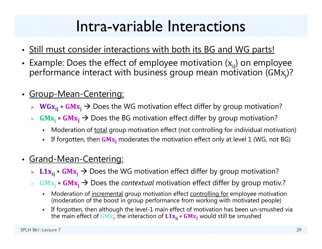### Intra-variable Interactions

- Still must consider interactions with both its BG and WG parts!
- •Example: Does the effect of employee motivation  $(x_{ii})$  on employee performance interact with business group mean motivation (GMx<sub>i</sub>)?
- • Group-Mean-Centering:
	- ܒܑܠ۵܅ ∗ ۵ܒܠۻ Does the WG motivation effect differ by group motivation?
	- $\blacktriangleright$  $GMx_i * GMx_i \rightarrow$  Does the BG motivation effect differ by group motivation?
		- n Moderation of total group motivation effect (not controlling for individual motivation)
		- If forgotten, then  $GMx_i$  moderates the motivation effect only at level 1 (WG, not BG)
- Grand-Mean-Centering:
	- ►  $\;$  L1 $\mathbf{x_{ij}}$   $\ast$  GM $\mathbf{x_j}$   $\to$  Does the WG motivation effect differ by group motivation?
	- ۵ܒܠۻ <sup>∗</sup> ۵ܒܠۻ Does the *contextual* motivation effect differ by group motiv.?
		- Г Moderation of incremental group motivation effect controlling for employee motivation (moderation of the boost in group performance from working with motivated people)
		- Г If forgotten, then although the level-1 main effect of motivation has been un-smushed via the main effect of  $\mathbf{GMx}_{\mathbf{j}}$ , the interaction of  $\mathbf{L1x}_{\mathbf{ij}} * \mathbf{GMx}_{\mathbf{j}}$  would still be smushed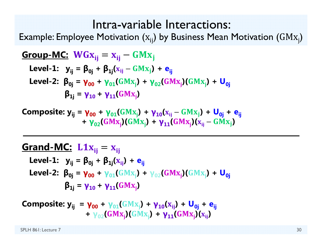### Intra-variable Interactions:

Example: Employee Motivation  $\rm\left(x_{ij}\right)$  by Business Mean Motivation  $\rm\left(GMx_{j}\right)$ 

<u>Group-MC:</u> WGx<sub>ij</sub> = х<sub>ij</sub> − GMx<sub>j</sub>  ${\bf L} {\bf e} {\bf v} {\bf e} {\bf l}$  -  ${\bf 1:}\quad {\bf y_{ij}} = {\bf \beta_{0j}} + {\bf \beta_{1j}} ({\bf x_{ij}} - G{\bf M} {\bf x_j}) + {\bf e_{ij}}$ **Level-2:**  $\beta_{0j}$  =  $\gamma_{00}$  +  $\gamma_{01}$ (GMx<sub>j</sub>) +  $\gamma_{02}$ (GMx<sub>j</sub>)(GMx<sub>j</sub>) + U<sub>0j</sub>  $\beta_{1j} = \gamma_{10} + \gamma_{11}(\text{GMx}_{j})$ 

**Composite: y<sub>ij</sub> = γ<sub>00</sub> + γ<sub>01</sub>(GMx<sub>j</sub>) + γ<sub>10</sub>(x<sub>ij</sub> – GMx<sub>j</sub>) + U<sub>0j</sub> + e<sub>ij</sub> + γ**<sub>02</sub>(GMx<sub>j</sub>)(GMx<sub>j</sub>) + **γ**<sub>11</sub>(GMx<sub>j</sub>)(x<sub>ij</sub> – GMx<sub>j</sub>)

### ܒܑܠۺ **:MC-Grand** ൌ ܒܑܠ

Level-1: 
$$
y_{ij} = \beta_{0j} + \beta_{1j}(x_{ij}) + e_{ij}
$$

\nLevel-2: 
$$
\beta_{0j} = \gamma_{00} + \gamma_{01}(GMx_j) + \gamma_{02}(GMx_j)(GMx_j) + U_{0j}
$$

\n
$$
\beta_{1j} = \gamma_{10} + \gamma_{11}(GMx_j)
$$

**Composite:** 
$$
y_{ij} = \gamma_{00} + \gamma_{01}(GMx_j) + \gamma_{10}(x_{ij}) + U_{0j} + e_{ij}
$$
  
+  $\gamma_{02}(GMx_j)(GMx_j) + \gamma_{11}(GMx_j)(x_{ij})$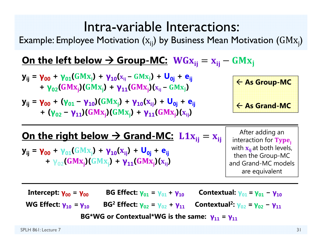### Intra-variable Interactions:

Example: Employee Motivation  $\rm\left(x_{ij}\right)$  by Business Mean Motivation  $\rm\left(GMx_{j}\right)$ 

#### **On the left below**  <u>→ Group-MC:</u> WGx<sub>ij</sub> = x<sub>ij</sub> – GMx<sub>j</sub>

- **y**<sub>ij</sub> = **γ**<sub>00</sub> + **γ**<sub>01</sub>(GMx<sub>j</sub>) + **γ**<sub>10</sub>(x<sub>ij</sub> GMx<sub>j</sub>) + U<sub>0j</sub> + e<sub>ij</sub> **+ γ**<sub>02</sub>(GMx<sub>j</sub>)(GMx<sub>j</sub>) + **γ**<sub>11</sub>(GMx<sub>j</sub>)(x<sub>ij</sub> – GMx<sub>j</sub>)
- **y**<sub>ij</sub> = **γ**<sub>00</sub> + (**γ**<sub>01</sub> − **γ**<sub>10</sub>)(GMx<sub>j</sub>) + **γ**<sub>10</sub>(x<sub>ij</sub>) + U<sub>0j</sub> + e<sub>ij</sub> + (**γ**<sub>02</sub> – **γ**<sub>11</sub>)(GMx<sub>j</sub>)(GMx<sub>j</sub>) + **γ**<sub>11</sub>(GMx<sub>j</sub>)(x<sub>ij</sub>)

 **As Group-MC As Grand-MC**

### On the right below → Grand-MC: 【1x<sub>ij</sub> = x<sub>ij</sub>

 ${\bf y_{ij}}$  =  ${\bf y_{00}}$  +  ${\bf y_{01}}$ (GMx<sub>i</sub>) +  ${\bf y_{10}}$ (x<sub>ij</sub>) +  ${\bf U_{0j}}$  +  ${\bf e_{ij}}$ **+ γ**<sub>02</sub>(GMx<sub>j</sub>)(GMx<sub>j</sub>) + **γ**<sub>11</sub>(GMx<sub>j</sub>)(x<sub>ij</sub>)

After adding an interaction for  $Type_i$ with  $\mathbf{x_{ij}}$ at both levels, then the Group-MC and Grand-MC models are equivalent

**Intercept: γ00 <sup>=</sup> γ00 BG Effect: γ01 = γ01 + γ10c** Contextual:  $γ_{01} = γ_{01}$ **− γ10 WG Effect: γ10 = γ10 BG 2 Effect: γ02 <sup>=</sup> γ02 + γ**<sub>11</sub> **Contextual<sup>2</sup>: <b>γ**<sub>02</sub> = **γ**<sub>02</sub> - **γ**<sub>11</sub> **BG\*WG or Contextual\*WG is the same: γ11 <sup>=</sup> γ11**

SPLH 861: Lecture 7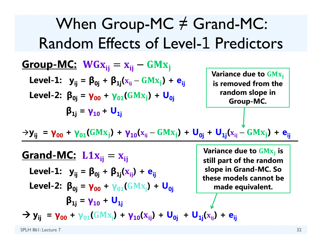When Group-MC ≠ Grand-MC:  
\nRandom Effects of Level-1 Predictors  
\nGroup-MC: 
$$
WGx_{ij} = x_{ij} - GMx_j
$$
  
\nLevel-1:  $y_{ij} = β_{0j} + β_{1j}(x_{ij} - GMx_j) + e_{ij}$   
\nLevel-2:  $β_{0j} = γ_{00} + γ_{01}(GMx_j) + U_{0j}$   
\n $β_{1j} = γ_{10} + U_{1j}$   
\n $\rightarrow y_{ij} = γ_{00} + γ_{01}(GMx_j) + γ_{10}(x_{ij} - GMx_j) + U_{0j} + U_{1j}(x_{ij} - GMx_j) + e_{ij}$   
\n**Grand-MC:** L1x<sub>ij</sub> = x<sub>ij</sub>  
\nLevel-1:  $y_{ij} = β_{0j} + β_{1j}(x_{ij}) + e_{ij}$   
\nLevel-2:  $β_{0j} = γ_{00} + γ_{01}(GMx_j) + U_{0j}$   
\n $β_{1j} = γ_{10} + U_{1j}$   
\n $\rightarrow y_{ij} = γ_{00} + γ_{01}(GMx_j) + γ_{10}(x_{ij}) + U_{0j} + U_{1j}(x_{ij}) + e_{ij}$   
\n $β_{1j} = γ_{10} + U_{1j}$   
\n $\rightarrow y_{ij} = γ_{00} + γ_{01}(GMx_j) + γ_{10}(x_{ij}) + U_{0j} + U_{1j}(x_{ij}) + e_{ij}$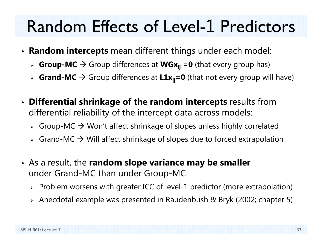## Random Effects of Level-1 Predictors

- **Random intercepts** mean different things under each model:
	- > Croup-MC → Group differences at WGx<sub>ij</sub> =0 (that every group has)
	- > Crand-MC → Group differences at L1x<sub>ij</sub>=0 (that not every group will have)
- **Differential shrinkage of the random intercepts** results from differential reliability of the intercept data across models:
	- $\triangleright$  Group-MC  $\rightarrow$  Won't affect shrinkage of slopes unless highly correlated
	- $\triangleright$  Grand-MC  $\rightarrow$  Will affect shrinkage of slopes due to forced extrapolation
- As a result, the **random slope variance may be smaller** under Grand-MC than under Group-MC
	- $\triangleright$  Problem worsens with greater ICC of level-1 predictor (more extrapolation)
	- Anecdotal example was presented in Raudenbush & Bryk (2002; chapter 5)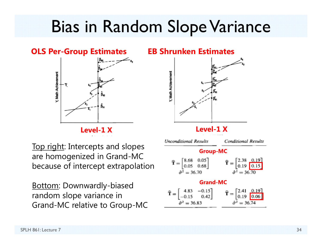## Bias in Random Slope Variance